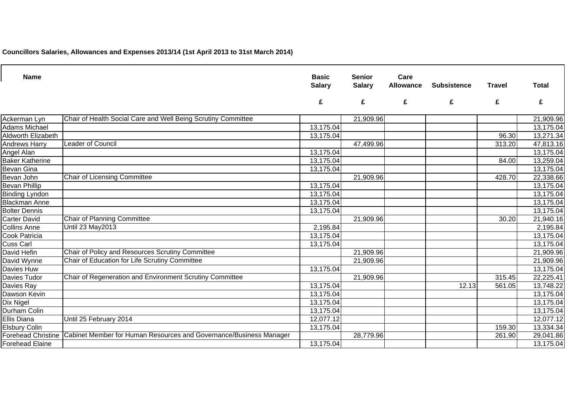**Councillors Salaries, Allowances and Expenses 2013/14 (1st April 2013 to 31st March 2014)**

| <b>Name</b>               |                                                                                       | <b>Basic</b><br><b>Salary</b> | <b>Senior</b><br><b>Salary</b> | Care<br><b>Allowance</b> | <b>Subsistence</b> | <b>Travel</b> | <b>Total</b>           |
|---------------------------|---------------------------------------------------------------------------------------|-------------------------------|--------------------------------|--------------------------|--------------------|---------------|------------------------|
|                           |                                                                                       | £                             | £                              | £                        | £                  | £             | £                      |
| Ackerman Lyn              | Chair of Health Social Care and Well Being Scrutiny Committee                         |                               | 21,909.96                      |                          |                    |               | 21,909.96              |
| <b>Adams Michael</b>      |                                                                                       | 13,175.04                     |                                |                          |                    |               | 13,175.04              |
| <b>Aldworth Elizabeth</b> |                                                                                       | 13,175.04                     |                                |                          |                    | 96.30         | 13,271.34              |
| <b>Andrews Harry</b>      | Leader of Council                                                                     |                               | 47,499.96                      |                          |                    | 313.20        | 47,813.16              |
| Angel Alan                |                                                                                       | 13,175.04                     |                                |                          |                    |               | 13,175.04              |
| <b>Baker Katherine</b>    |                                                                                       | 13,175.04                     |                                |                          |                    | 84.00         | 13,259.04              |
| <b>Bevan Gina</b>         |                                                                                       | 13,175.04                     |                                |                          |                    |               | 13,175.04              |
| Bevan John                | <b>Chair of Licensing Committee</b>                                                   |                               | 21,909.96                      |                          |                    | 428.70        | 22,338.66              |
| <b>Bevan Phillip</b>      |                                                                                       | 13,175.04                     |                                |                          |                    |               | 13,175.04              |
| <b>Binding Lyndon</b>     |                                                                                       | 13,175.04                     |                                |                          |                    |               | 13,175.04              |
| <b>Blackman Anne</b>      |                                                                                       | 13,175.04                     |                                |                          |                    |               | $\overline{13,175.04}$ |
| <b>Bolter Dennis</b>      |                                                                                       | 13,175.04                     |                                |                          |                    |               | 13,175.04              |
| <b>Carter David</b>       | Chair of Planning Committee                                                           |                               | 21,909.96                      |                          |                    | 30.20         | 21,940.16              |
| <b>Collins Anne</b>       | <b>Until 23 May 2013</b>                                                              | 2,195.84                      |                                |                          |                    |               | 2,195.84               |
| <b>Cook Patricia</b>      |                                                                                       | 13,175.04                     |                                |                          |                    |               | 13,175.04              |
| <b>Cuss Carl</b>          |                                                                                       | 13,175.04                     |                                |                          |                    |               | $\overline{13,175.04}$ |
| David Hefin               | Chair of Policy and Resources Scrutiny Committee                                      |                               | 21,909.96                      |                          |                    |               | 21,909.96              |
| David Wynne               | Chair of Education for Life Scrutiny Committee                                        |                               | 21,909.96                      |                          |                    |               | 21,909.96              |
| Davies Huw                |                                                                                       | 13,175.04                     |                                |                          |                    |               | 13,175.04              |
| Davies Tudor              | Chair of Regeneration and Environment Scrutiny Committee                              |                               | 21,909.96                      |                          |                    | 315.45        | 22,225.41              |
| Davies Ray                |                                                                                       | $\overline{13,175.04}$        |                                |                          | 12.13              | 561.05        | 13,748.22              |
| Dawson Kevin              |                                                                                       | 13,175.04                     |                                |                          |                    |               | 13,175.04              |
| <b>Dix Nigel</b>          |                                                                                       | 13,175.04                     |                                |                          |                    |               | 13,175.04              |
| Durham Colin              |                                                                                       | 13,175.04                     |                                |                          |                    |               | 13,175.04              |
| <b>Ellis Diana</b>        | Until 25 February 2014                                                                | 12,077.12                     |                                |                          |                    |               | 12,077.12              |
| <b>Elsbury Colin</b>      |                                                                                       | 13,175.04                     |                                |                          |                    | 159.30        | 13,334.34              |
|                           | Forehead Christine Cabinet Member for Human Resources and Governance/Business Manager |                               | 28,779.96                      |                          |                    | 261.90        | 29,041.86              |
| <b>Forehead Elaine</b>    |                                                                                       | 13,175.04                     |                                |                          |                    |               | 13,175.04              |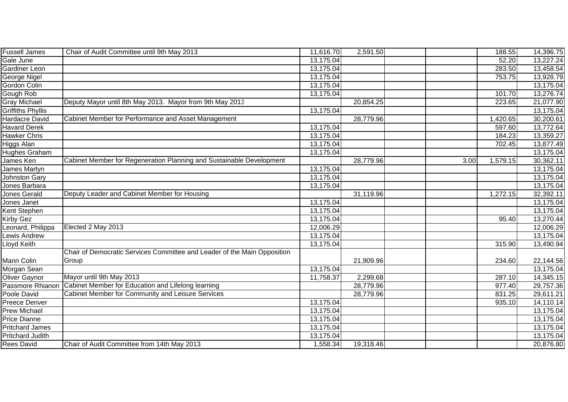| <b>Fussell James</b>     | Chair of Audit Committee until 9th May 2013                              | 11,616.70 | 2,591.50  |      | 188.55   | 14,396.75              |
|--------------------------|--------------------------------------------------------------------------|-----------|-----------|------|----------|------------------------|
| Gale June                |                                                                          | 13,175.04 |           |      | 52.20    | 13,227.24              |
| <b>Gardiner Leon</b>     |                                                                          | 13,175.04 |           |      | 283.50   | 13,458.54              |
| <b>George Nigel</b>      |                                                                          | 13,175.04 |           |      | 753.75   | 13,928.79              |
| Gordon Colin             |                                                                          | 13,175.04 |           |      |          | 13,175.04              |
| Gough Rob                |                                                                          | 13,175.04 |           |      | 101.70   | 13,276.74              |
| <b>Gray Michael</b>      | Deputy Mayor until 8th May 2013. Mayor from 9th May 2013                 |           | 20,854.25 |      | 223.65   | 21,077.90              |
| <b>Griffiths Phyllis</b> |                                                                          | 13,175.04 |           |      |          | 13,175.04              |
| <b>Hardacre David</b>    | Cabinet Member for Performance and Asset Management                      |           | 28,779.96 |      | 1,420.65 | $\overline{30,200.61}$ |
| <b>Havard Derek</b>      |                                                                          | 13,175.04 |           |      | 597.60   | 13,772.64              |
| Hawker Chris             |                                                                          | 13,175.04 |           |      | 184.23   | 13,359.27              |
| Higgs Alan               |                                                                          | 13,175.04 |           |      | 702.45   | 13,877.49              |
| Hughes Graham            |                                                                          | 13,175.04 |           |      |          | 13,175.04              |
| James Ken                | Cabinet Member for Regeneration Planning and Sustainable Development     |           | 28,779.96 | 3.00 | 1,579.15 | 30,362.11              |
| James Martyn             |                                                                          | 13,175.04 |           |      |          | 13,175.04              |
| <b>Johnston Gary</b>     |                                                                          | 13,175.04 |           |      |          | 13,175.04              |
| Jones Barbara            |                                                                          | 13,175.04 |           |      |          | 13,175.04              |
| Jones Gerald             | Deputy Leader and Cabinet Member for Housing                             |           | 31,119.96 |      | 1,272.15 | 32,392.11              |
| Jones Janet              |                                                                          | 13,175.04 |           |      |          | 13,175.04              |
| Kent Stephen             |                                                                          | 13,175.04 |           |      |          | 13,175.04              |
| Kirby Gez                |                                                                          | 13,175.04 |           |      | 95.40    | 13,270.44              |
| Leonard, Philippa        | Elected 2 May 2013                                                       | 12,006.29 |           |      |          | 12,006.29              |
| Lewis Andrew             |                                                                          | 13,175.04 |           |      |          | 13,175.04              |
| Lloyd Keith              |                                                                          | 13,175.04 |           |      | 315.90   | 13,490.94              |
|                          | Chair of Democratic Services Committee and Leader of the Main Opposition |           |           |      |          |                        |
| Mann Colin               | Group                                                                    |           | 21,909.96 |      | 234.60   | 22,144.56              |
| Morgan Sean              |                                                                          | 13,175.04 |           |      |          | 13,175.04              |
| Oliver Gaynor            | Mayor until 9th May 2013                                                 | 11,758.37 | 2,299.68  |      | 287.10   | 14,345.15              |
| Passmore Rhianon         | Cabinet Member for Education and Lifelong learning                       |           | 28,779.96 |      | 977.40   | 29,757.36              |
| Poole David              | Cabinet Member for Community and Leisure Services                        |           | 28,779.96 |      | 831.25   | 29,611.21              |
| Preece Denver            |                                                                          | 13,175.04 |           |      | 935.10   | 14,110.14              |
| <b>Prew Michael</b>      |                                                                          | 13,175.04 |           |      |          | 13,175.04              |
| <b>Price Dianne</b>      |                                                                          | 13,175.04 |           |      |          | 13,175.04              |
| <b>Pritchard James</b>   |                                                                          | 13,175.04 |           |      |          | 13,175.04              |
| <b>Pritchard Judith</b>  |                                                                          | 13,175.04 |           |      |          | 13,175.04              |
| <b>Rees David</b>        | Chair of Audit Committee from 14th May 2013                              | 1,558.34  | 19,318.46 |      |          | 20,876.80              |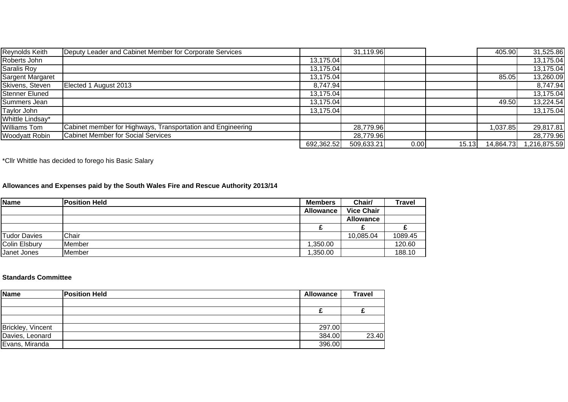| <b>Reynolds Keith</b>   | Deputy Leader and Cabinet Member for Corporate Services     |            | 31,119.96  |      |       | 405.90    | 31,525.86   |
|-------------------------|-------------------------------------------------------------|------------|------------|------|-------|-----------|-------------|
| Roberts John            |                                                             | 13,175.04  |            |      |       |           | 13,175.04   |
| Saralis Roy             |                                                             | 13,175.04  |            |      |       |           | 13,175.04   |
| <b>Sargent Margaret</b> |                                                             | 13,175.04  |            |      |       | 85.05     | 13,260.09   |
| Skivens, Steven         | Elected 1 August 2013                                       | 8,747.94   |            |      |       |           | 8,747.94    |
| Stenner Eluned          |                                                             | 13,175.04  |            |      |       |           | 13,175.04   |
| Summers Jean            |                                                             | 13,175.04  |            |      |       | 49.50     | 13,224.54   |
| Taylor John             |                                                             | 13,175.04  |            |      |       |           | 13,175.04   |
| Whittle Lindsay*        |                                                             |            |            |      |       |           |             |
| <b>Williams Tom</b>     | Cabinet member for Highways, Transportation and Engineering |            | 28,779.96  |      |       | 1,037.85  | 29,817.81   |
| Woodyatt Robin          | <b>Cabinet Member for Social Services</b>                   |            | 28,779.96  |      |       |           | 28,779.96   |
|                         |                                                             | 692,362.52 | 509,633.21 | 0.00 | 15.13 | 14,864.73 | ,216,875.59 |

\*Cllr Whittle has decided to forego his Basic Salary

## **Allowances and Expenses paid by the South Wales Fire and Rescue Authority 2013/14**

| Name          | <b>Position Held</b> | <b>Members</b>   | Chair/            | Travel  |
|---------------|----------------------|------------------|-------------------|---------|
|               |                      | <b>Allowance</b> | <b>Vice Chair</b> |         |
|               |                      |                  | <b>Allowance</b>  |         |
|               |                      |                  |                   |         |
| Tudor Davies  | Chair                |                  | 10,085.04         | 1089.45 |
| Colin Elsbury | <b>IMember</b>       | 350.00           |                   | 120.60  |
| Janet Jones   | <b>Member</b>        | ,350.00          |                   | 188.10  |

## **Standards Committee**

| Name              | <b>Position Held</b> | Allowance | <b>Travel</b> |
|-------------------|----------------------|-----------|---------------|
|                   |                      |           |               |
|                   |                      |           |               |
|                   |                      |           |               |
| Brickley, Vincent |                      | 297.00    |               |
| Davies, Leonard   |                      | 384.00    | 23.40         |
| Evans, Miranda    |                      | 396.00    |               |